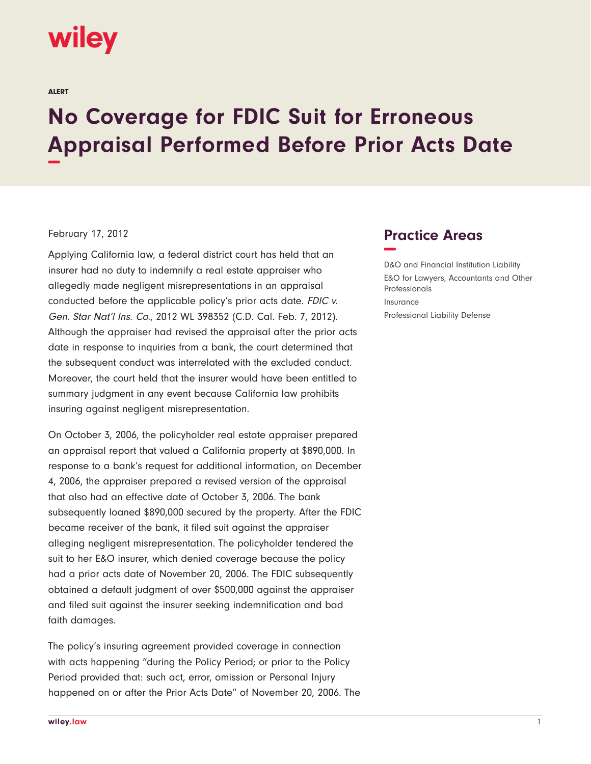## wiley

ALERT

## **No Coverage for FDIC Suit for Erroneous Appraisal Performed Before Prior Acts Date −**

## February 17, 2012

Applying California law, a federal district court has held that an insurer had no duty to indemnify a real estate appraiser who allegedly made negligent misrepresentations in an appraisal conducted before the applicable policy's prior acts date. FDIC v. Gen. Star Nat'l Ins. Co., 2012 WL 398352 (C.D. Cal. Feb. 7, 2012). Although the appraiser had revised the appraisal after the prior acts date in response to inquiries from a bank, the court determined that the subsequent conduct was interrelated with the excluded conduct. Moreover, the court held that the insurer would have been entitled to summary judgment in any event because California law prohibits insuring against negligent misrepresentation.

On October 3, 2006, the policyholder real estate appraiser prepared an appraisal report that valued a California property at \$890,000. In response to a bank's request for additional information, on December 4, 2006, the appraiser prepared a revised version of the appraisal that also had an effective date of October 3, 2006. The bank subsequently loaned \$890,000 secured by the property. After the FDIC became receiver of the bank, it filed suit against the appraiser alleging negligent misrepresentation. The policyholder tendered the suit to her E&O insurer, which denied coverage because the policy had a prior acts date of November 20, 2006. The FDIC subsequently obtained a default judgment of over \$500,000 against the appraiser and filed suit against the insurer seeking indemnification and bad faith damages.

The policy's insuring agreement provided coverage in connection with acts happening "during the Policy Period; or prior to the Policy Period provided that: such act, error, omission or Personal Injury happened on or after the Prior Acts Date" of November 20, 2006. The

## **Practice Areas −**

D&O and Financial Institution Liability E&O for Lawyers, Accountants and Other Professionals Insurance Professional Liability Defense